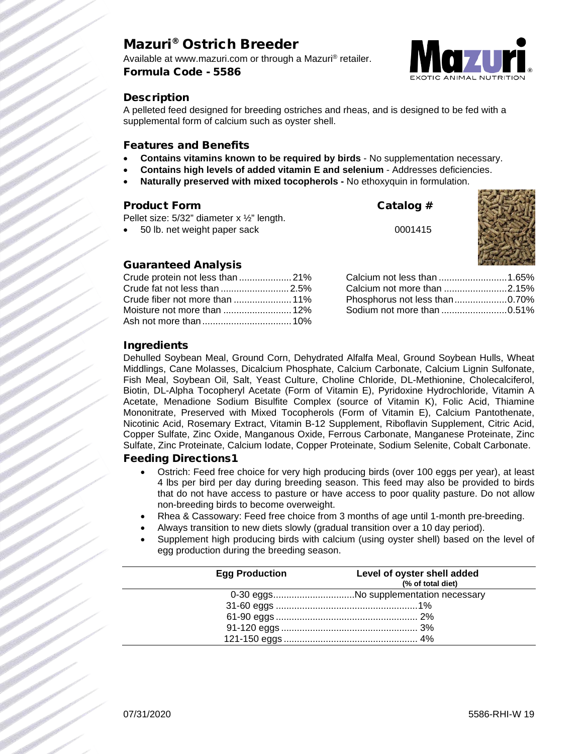# Mazuri® Ostrich Breeder

Available at www.mazuri.com or through a Mazuri® retailer. Formula Code - 5586



### **Description**

A pelleted feed designed for breeding ostriches and rheas, and is designed to be fed with a supplemental form of calcium such as oyster shell.

### Features and Benefits

- **Contains vitamins known to be required by birds** No supplementation necessary.
- **Contains high levels of added vitamin E and selenium** Addresses deficiencies.
- **Naturally preserved with mixed tocopherols -** No ethoxyquin in formulation.

### Product Form Catalog #

Pellet size: 5/32" diameter x ½" length.

• 50 lb. net weight paper sack 0001415



## Guaranteed Analysis

| Crude protein not less than 21% |  |
|---------------------------------|--|
| Crude fat not less than 2.5%    |  |
|                                 |  |
|                                 |  |
|                                 |  |

| Phosphorus not less than0.70% |  |
|-------------------------------|--|
|                               |  |

### Ingredients

Dehulled Soybean Meal, Ground Corn, Dehydrated Alfalfa Meal, Ground Soybean Hulls, Wheat Middlings, Cane Molasses, Dicalcium Phosphate, Calcium Carbonate, Calcium Lignin Sulfonate, Fish Meal, Soybean Oil, Salt, Yeast Culture, Choline Chloride, DL-Methionine, Cholecalciferol, Biotin, DL-Alpha Tocopheryl Acetate (Form of Vitamin E), Pyridoxine Hydrochloride, Vitamin A Acetate, Menadione Sodium Bisulfite Complex (source of Vitamin K), Folic Acid, Thiamine Mononitrate, Preserved with Mixed Tocopherols (Form of Vitamin E), Calcium Pantothenate, Nicotinic Acid, Rosemary Extract, Vitamin B-12 Supplement, Riboflavin Supplement, Citric Acid, Copper Sulfate, Zinc Oxide, Manganous Oxide, Ferrous Carbonate, Manganese Proteinate, Zinc Sulfate, Zinc Proteinate, Calcium Iodate, Copper Proteinate, Sodium Selenite, Cobalt Carbonate.

### Feeding Directions1

- Ostrich: Feed free choice for very high producing birds (over 100 eggs per year), at least 4 lbs per bird per day during breeding season. This feed may also be provided to birds that do not have access to pasture or have access to poor quality pasture. Do not allow non-breeding birds to become overweight.
- Rhea & Cassowary: Feed free choice from 3 months of age until 1-month pre-breeding.
- Always transition to new diets slowly (gradual transition over a 10 day period).
- Supplement high producing birds with calcium (using oyster shell) based on the level of egg production during the breeding season.

| <b>Egg Production</b> | Level of oyster shell added<br>(% of total diet) |
|-----------------------|--------------------------------------------------|
|                       | 0-30 eggsNo supplementation necessary            |
|                       |                                                  |
|                       |                                                  |
|                       |                                                  |
|                       |                                                  |